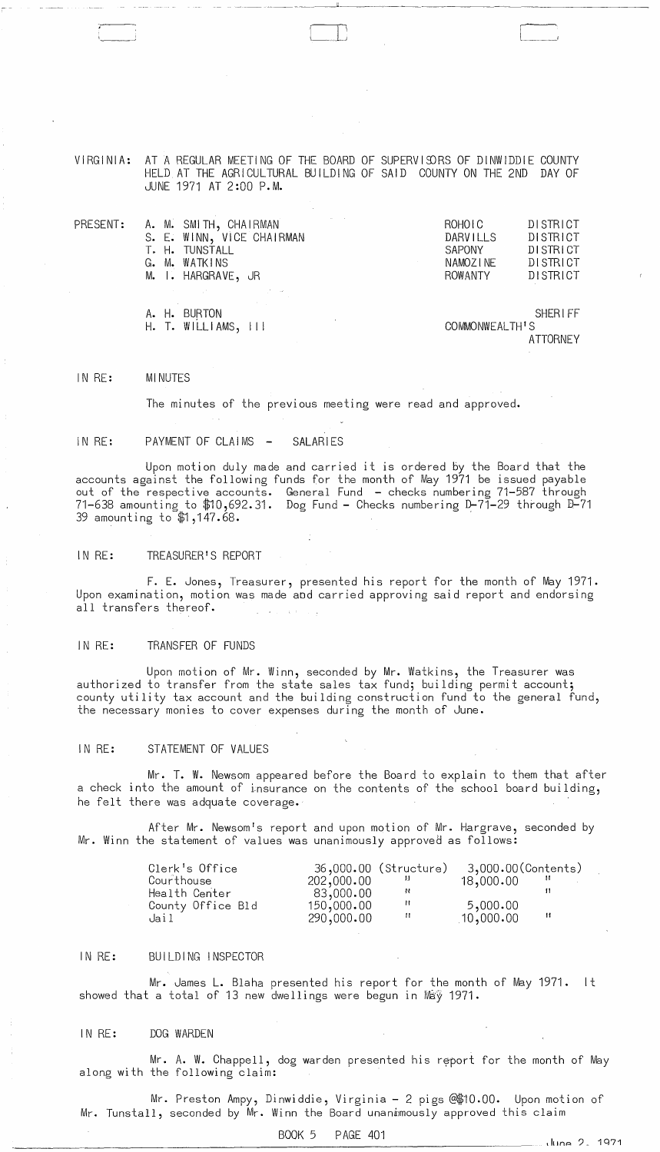VIRGINIA: AT A REGULAR MEETING OF THE BOARD OF SUPERVISORS OF DINWIDDIE COUNTY HELD AT THE AGRICULTURAL BUILDING OF SAID COUNTY ON THE 2ND DAY OF JUNE 1971 AT 2:00 P.M.

 $\begin{bmatrix} 1 & 1 & 1 \ 1 & 1 & 1 \end{bmatrix}$ 

| PRESENT: | A. M. SMITH, CHAIRMAN         |  | ROHOIC         | DI STRICT       |
|----------|-------------------------------|--|----------------|-----------------|
|          | S. E. WINN, VICE CHAIRMAN     |  | DARVILLS       | DISTRICT        |
|          | T. H. TUNSTALL                |  | <b>SAPONY</b>  | DISTRICT        |
|          | G. M. WATKINS                 |  | NAMOZINE       | DISTRICT        |
|          | M. I. HARGRAVE, JR            |  | ROWANTY        | DISTRICT        |
|          | アクセス しょうしょう アール・アール アール・プログラム |  |                |                 |
|          | A. H. BURTON                  |  |                | <b>SHERIFF</b>  |
|          | H. T. WILLIAMS, III           |  | COMMONWEALTH'S |                 |
|          |                               |  |                | <b>ATTORNEY</b> |

# IN RE: MINUTES

The minutes of the previous meeting were read and approved.

## IN RE: PAYMENT OF CLAIMS - SALARIES

Upon motion duly made and carried it is ordered by the Board that the accounts against the following funds for the month of May 1971 be issued payable out of the respective accounts. General Fund - checks numbering 71-587 through 71-638 amounting to \$10,692.31. Dog Fund - Checks numbering D-71-29 through B-71 39 amounting to \$1,147.68.

# IN RE: TREASURER'S REPORT

F. E. Jones, Treasurer, presented his report for the month of May 1971. Upon examination, motion was made aod carried approving said report and endorsing all transfers thereof.

# IN RE: TRANSFER OF FUNDS

Upon motion of Mr. Winn, seconded by Mr. Watkins, the Treasurer was authorized to transfer from the state sales tax fund; building permit account; county utility tax account and the building construction fund to the general fund, the necessary monies to cover expenses during the month of June.

# IN RE: STATEMENT OF VALUES

Mr. T. W. Newsom appeared before the Board to explain to them that after a check into the amount of insurance on the contents of the school board building, he felt there was adquate coverage.

After Mr. Newsom's report and upon motion of Mr. Hargrave, seconded by Mr. Winn the statement of values was unanimously approved as follows:

| Clerk's Office    |            | 36,000.00 (Structure) | 3,000.00(Contents) |     |
|-------------------|------------|-----------------------|--------------------|-----|
| Courthouse        | 202,000.00 |                       | 18,000.00          |     |
| Health Center     | 83,000.00  | -14                   |                    |     |
| County Office Bld | 150,000.00 |                       | 5,000.00           |     |
| Jail              | 290,000.00 |                       | 10,000.00          | -14 |

### IN RE: BUILDING !NSPECTOR

Mr. James L. Blaha presented his report for the month of May 1971. It showed that a total of 13 new dwellings were begun in May 1971.

# IN RE: DOG WARDEN

Mr. A. W. Chappell, dog warden presented his report for the month of May along with the following claim:

Mr. Preston Ampy, Dinwiddie, Virginia - 2 pigs @\$10.00. Upon motion of Mr. Tunstall, seconded by Mr. Winn the Board unanimously approved this claim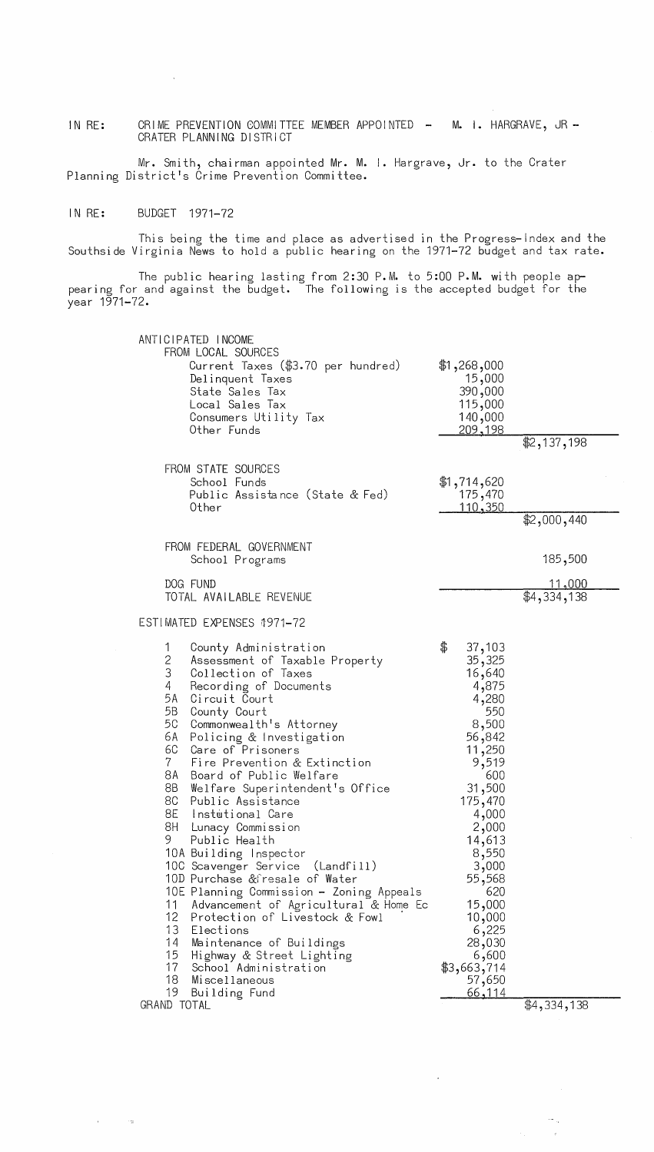CRIME PREVENTION COMMITTEE MEMBER APPOINTED - M. I. HARGRAVE, JR -IN RE: CRATER PLANNING DISTRICT

Mr. Smith, chairman appointed Mr. M. I. Hargrave, Jr. to the Crater Planning District's Crime Prevention Committee.

### IN RE: BUDGET 1971-72

 $\mathcal{A}^{\text{max}}_{\text{max}}$  and  $\mathcal{A}^{\text{max}}_{\text{max}}$ 

 $\mathcal{A}$ 

This being the time and place as advertised in the Progress-Index and the Southside Virginia News to hold a public hearing on the 1971-72 budget and tax rate.

The public hearing lasting from 2:30 P.M. to 5:00 P.M. with people appearing for and against the budget. The following is the accepted budget for the year 1971-72.

|                                                                                                                                                            | ANTICIPATED INCOME<br>FROM LOCAL SOURCES<br>Current Taxes (\$3.70 per hundred)<br>Delinquent Taxes<br>State Sales Tax<br>Local Sales Tax<br>Consumers Utility Tax<br>Other Funds                                                                                                                                                                                                                                                                                                                                                                                                                                                                                                                                                                           | $*1,268,000$<br>15,000<br>390,000<br>115,000<br>140,000<br><u>209,198</u>                                                                                                                                                                                                            | \$2,137,198                  |
|------------------------------------------------------------------------------------------------------------------------------------------------------------|------------------------------------------------------------------------------------------------------------------------------------------------------------------------------------------------------------------------------------------------------------------------------------------------------------------------------------------------------------------------------------------------------------------------------------------------------------------------------------------------------------------------------------------------------------------------------------------------------------------------------------------------------------------------------------------------------------------------------------------------------------|--------------------------------------------------------------------------------------------------------------------------------------------------------------------------------------------------------------------------------------------------------------------------------------|------------------------------|
|                                                                                                                                                            | FROM STATE SOURCES<br>School Funds<br>Public Assistance (State & Fed)<br>Other                                                                                                                                                                                                                                                                                                                                                                                                                                                                                                                                                                                                                                                                             | \$1,714,620<br>175,470<br><u> 110,350</u>                                                                                                                                                                                                                                            | \$2,000,440                  |
|                                                                                                                                                            | FROM FEDERAL GOVERNMENT<br>School Programs                                                                                                                                                                                                                                                                                                                                                                                                                                                                                                                                                                                                                                                                                                                 |                                                                                                                                                                                                                                                                                      | 185,500                      |
|                                                                                                                                                            | DOG FUND<br>TOTAL AVAILABLE REVENUE                                                                                                                                                                                                                                                                                                                                                                                                                                                                                                                                                                                                                                                                                                                        |                                                                                                                                                                                                                                                                                      | <u>11,000</u><br>\$4,334,138 |
|                                                                                                                                                            | ESTIMATED EXPENSES 1971-72                                                                                                                                                                                                                                                                                                                                                                                                                                                                                                                                                                                                                                                                                                                                 |                                                                                                                                                                                                                                                                                      |                              |
| 1<br>2<br>3<br>4<br>5A<br>5B<br>5C<br>6A<br>6C<br>$7 -$<br>8A<br>8B<br>8C<br>8E<br>8H<br>9.<br>11<br>12<br>13<br>14<br>15<br>17<br>18<br>19<br>GRAND TOTAL | County Administration<br>Assessment of Taxable Property<br>Collection of Taxes<br>Recording of Documents<br>Circuit Court<br>County Court<br>Commonwealth's Attorney<br>Policing & Investigation<br>Care of Prisoners<br>Fire Prevention & Extinction<br>Board of Public Welfare<br>Welfare Superintendent's Office<br>Public Assistance<br>Instutional Care<br>Lunacy Commission<br>Public Health<br>10A Building Inspector<br>10C Scavenger Service (Landfill)<br>10D Purchase &fresale of Water<br>10E Planning Commission - Zoning Appeals<br>Advancement of Agricultural & Home Ec<br>Protection of Livestock & Fowl<br>Elections<br>Maintenance of Buildings<br>Highway & Street Lighting<br>School Administration<br>Miscellaneous<br>Building Fund | \$<br>37,103<br>35,325<br>16,640<br>4,875<br>4,280<br>550<br>8,500<br>56,842<br>11,250<br>9,519<br>600<br>31,500<br>175,470<br>4,000<br>2,000<br>14,613<br>8,550<br>3,000<br>55,568<br>620<br>15,000<br>10,000<br>6,225<br>28,030<br>6,600<br>\$3,663,714<br>57,650<br><u>66,114</u> | \$4,334,138                  |

 $\sim 10^{11}$  km  $^{-1}$ 

 $\frac{1}{\sqrt{2\pi}}\frac{1}{\sqrt{2\pi}}\frac{1}{\sqrt{2\pi}}\frac{1}{\sqrt{2\pi}}\frac{1}{\sqrt{2\pi}}\frac{1}{\sqrt{2\pi}}\frac{1}{\sqrt{2\pi}}\frac{1}{\sqrt{2\pi}}\frac{1}{\sqrt{2\pi}}\frac{1}{\sqrt{2\pi}}\frac{1}{\sqrt{2\pi}}\frac{1}{\sqrt{2\pi}}\frac{1}{\sqrt{2\pi}}\frac{1}{\sqrt{2\pi}}\frac{1}{\sqrt{2\pi}}\frac{1}{\sqrt{2\pi}}\frac{1}{\sqrt{2\pi}}\frac{1}{\sqrt{2\pi}}\frac{1$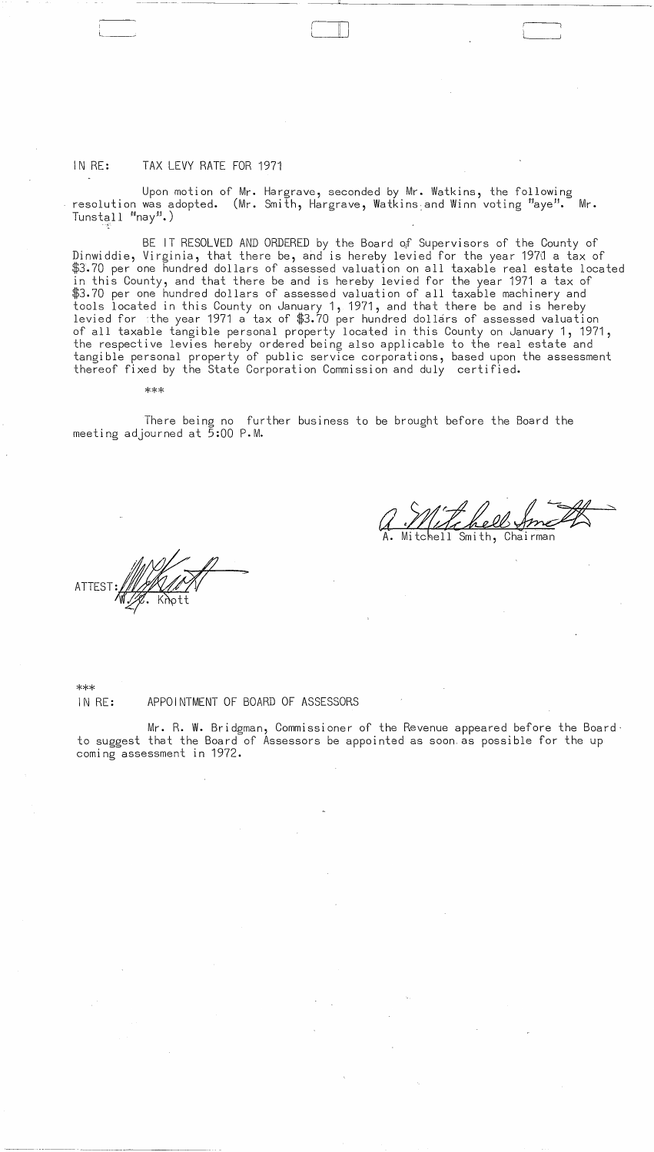### IN RE: TAX LEVY RATE FOR 1971

I

 $\Box~$ 

Upon motion of Mr. Hargrave, seconded by Mr. Watkins, the following resolution was adopted. (Mr. Smith, Hargrave, Watkins and Winn voting "aye". Mr.  $T$ unstall  $^{\text{min}}$ nay $^{\text{min}}$ .)

II )

BE IT RESOLVED AND ORDERED by the Board o;f Supervisors of the County of Dinwiddie, Virginia, that there be, and is hereby levied for the year 197d a tax of \$3.70 per one hundred dollars of assessed valuation on all taxable real estate located in this County, and that there be and is hereby levied for the year 1971 a tax of \$3.70 per one hundred dollars of assessed valuation of all taxable machinery and tools located in this County on January 1, 1971, and that there be and is hereby levied for sthe year 1971 a tax of  $\$3.70$  per hundred dollars of assessed valuation of all taxable tangible personal property located in this County on January 1, 1971, the respective levies hereby ordered being also applicable to the real estate and tangible personal property of public service corporations, based upon the assessment thereof fixed by the State Corporation Commission and duly certified.

\*\*\*

There being no further business to be brought before the Board the meeting adjourned at 5:00 P.M.

ATTES

Smith, Chairman

~~- "-~ - ,----~,---, .. ~~-~

 $\frac{1}{2}$ 

 $\mathcal{L}^{\text{max}}_{\text{max}}$  and  $\mathcal{L}^{\text{max}}_{\text{max}}$ 

\*\*\* IN RE: APPOINTMENT OF BOARD OF ASSESSORS

Mr. R. W. Bridgman, Commissioner of the Revenue appeared before the Boardto suggest that the Board of Assessors be appointed as soon, as possible for the up coming assessment in 1972.

 $\label{eq:2} \begin{split} \mathcal{L}_{\text{max}}(\mathbf{x}) = \mathcal{L}_{\text{max}}(\mathbf{x}) \,, \end{split}$ 

 $\label{eq:2.1} \frac{1}{\sqrt{2}}\left(\frac{1}{\sqrt{2}}\right)^{2} \left(\frac{1}{\sqrt{2}}\right)^{2} \left(\frac{1}{\sqrt{2}}\right)^{2} \left(\frac{1}{\sqrt{2}}\right)^{2} \left(\frac{1}{\sqrt{2}}\right)^{2} \left(\frac{1}{\sqrt{2}}\right)^{2} \left(\frac{1}{\sqrt{2}}\right)^{2} \left(\frac{1}{\sqrt{2}}\right)^{2} \left(\frac{1}{\sqrt{2}}\right)^{2} \left(\frac{1}{\sqrt{2}}\right)^{2} \left(\frac{1}{\sqrt{2}}\right)^{2} \left(\$ 

 $\label{eq:1.1} \frac{1}{\sqrt{2\pi}}\sum_{i=1}^N\frac{1}{\sqrt{2\pi}}\sum_{i=1}^N\frac{1}{\sqrt{2\pi}}\sum_{i=1}^N\frac{1}{\sqrt{2\pi}}\sum_{i=1}^N\frac{1}{\sqrt{2\pi}}\sum_{i=1}^N\frac{1}{\sqrt{2\pi}}\sum_{i=1}^N\frac{1}{\sqrt{2\pi}}\sum_{i=1}^N\frac{1}{\sqrt{2\pi}}\sum_{i=1}^N\frac{1}{\sqrt{2\pi}}\sum_{i=1}^N\frac{1}{\sqrt{2\pi}}\sum_{i=1}^N\$ 

 $\label{eq:2.1} \frac{1}{\sqrt{2\pi}}\int_{0}^{\infty}\frac{1}{\sqrt{2\pi}}\left(\frac{1}{\sqrt{2\pi}}\right)^{2\pi} \frac{1}{\sqrt{2\pi}}\int_{0}^{\infty}\frac{1}{\sqrt{2\pi}}\frac{1}{\sqrt{2\pi}}\frac{1}{\sqrt{2\pi}}\frac{1}{\sqrt{2\pi}}\frac{1}{\sqrt{2\pi}}\frac{1}{\sqrt{2\pi}}\frac{1}{\sqrt{2\pi}}\frac{1}{\sqrt{2\pi}}\frac{1}{\sqrt{2\pi}}\frac{1}{\sqrt{2\pi}}\frac{1}{\sqrt{2\pi}}\frac{$ 

 $\mathcal{L}(\mathcal{A})$  .